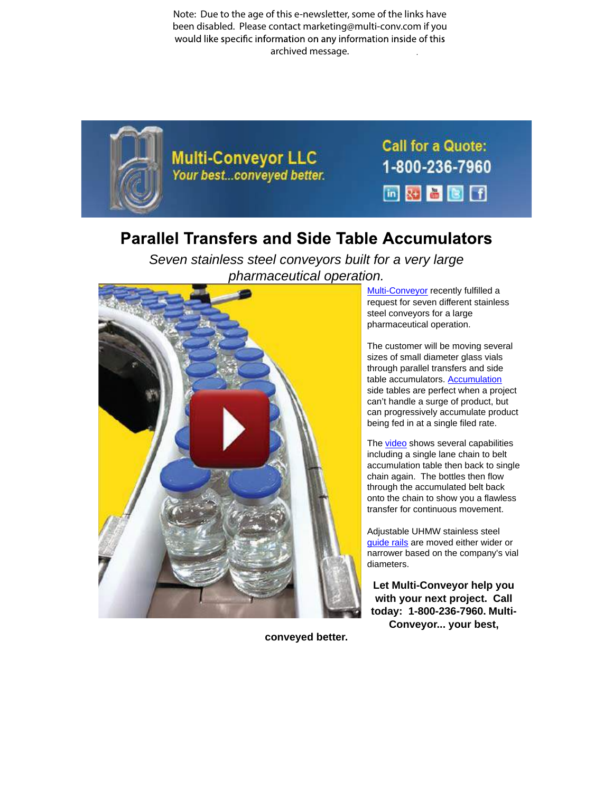Note: Due to the age of this e-newsletter, some of the links have been disabled. Please contact marketing@multi-conv.com if you would like specific information on any information inside of this archived message..



## **Parallel Transfers and Side Table Accumulators**

Seven stainless steel conveyors built for a very large [pharmaceutical](http://www.multi-conveyor.com/multi-media-center/videos) operation.



Multi-Conveyor recently fulfilled a request for seven different stainless steel conveyors for a large pharmaceutical operation.

The customer will be moving several sizes of small diameter glass vials through parallel transfers and side table accumulators. Accumulation side tables are perfect when a project can't handle a surge of product, but can progressively accumulate product being fed in at a single filed rate.

The video shows several capabilities including a single lane chain to belt accumulation table then back to single chain again. The bottles then flow through the accumulated belt back onto the chain to show you a flawless transfer for continuous movement.

Adjustable UHMW stainless steel guide rails are moved either wider or narrower based on the company's vial diameters.

**Let Multi-Conveyor help you with your next project. Call today: 1-800-236-7960. Multi-Conveyor... your best,**

**conveyed better.**